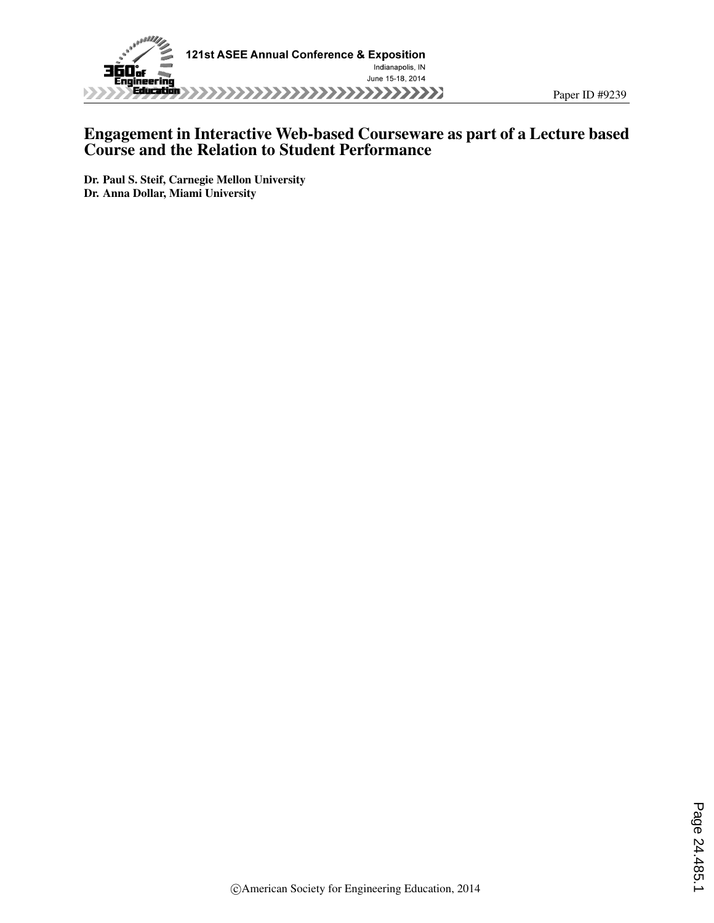

## Engagement in Interactive Web-based Courseware as part of a Lecture based Course and the Relation to Student Performance

Paper ID #9239

Dr. Paul S. Steif, Carnegie Mellon University Dr. Anna Dollar, Miami University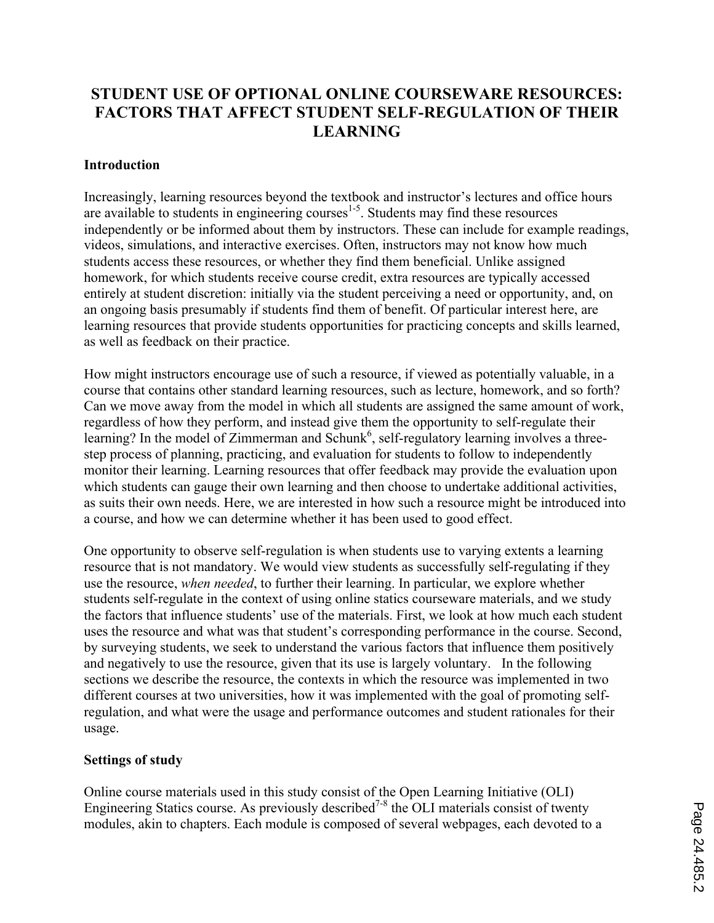# **STUDENT USE OF OPTIONAL ONLINE COURSEWARE RESOURCES: FACTORS THAT AFFECT STUDENT SELF-REGULATION OF THEIR LEARNING**

### **Introduction**

Increasingly, learning resources beyond the textbook and instructor's lectures and office hours are available to students in engineering courses<sup>1-5</sup>. Students may find these resources independently or be informed about them by instructors. These can include for example readings, videos, simulations, and interactive exercises. Often, instructors may not know how much students access these resources, or whether they find them beneficial. Unlike assigned homework, for which students receive course credit, extra resources are typically accessed entirely at student discretion: initially via the student perceiving a need or opportunity, and, on an ongoing basis presumably if students find them of benefit. Of particular interest here, are learning resources that provide students opportunities for practicing concepts and skills learned, as well as feedback on their practice.

How might instructors encourage use of such a resource, if viewed as potentially valuable, in a course that contains other standard learning resources, such as lecture, homework, and so forth? Can we move away from the model in which all students are assigned the same amount of work, regardless of how they perform, and instead give them the opportunity to self-regulate their learning? In the model of Zimmerman and Schunk<sup>6</sup>, self-regulatory learning involves a threestep process of planning, practicing, and evaluation for students to follow to independently monitor their learning. Learning resources that offer feedback may provide the evaluation upon which students can gauge their own learning and then choose to undertake additional activities, as suits their own needs. Here, we are interested in how such a resource might be introduced into a course, and how we can determine whether it has been used to good effect.

One opportunity to observe self-regulation is when students use to varying extents a learning resource that is not mandatory. We would view students as successfully self-regulating if they use the resource, *when needed*, to further their learning. In particular, we explore whether students self-regulate in the context of using online statics courseware materials, and we study the factors that influence students' use of the materials. First, we look at how much each student uses the resource and what was that student's corresponding performance in the course. Second, by surveying students, we seek to understand the various factors that influence them positively and negatively to use the resource, given that its use is largely voluntary. In the following sections we describe the resource, the contexts in which the resource was implemented in two different courses at two universities, how it was implemented with the goal of promoting selfregulation, and what were the usage and performance outcomes and student rationales for their usage.

## **Settings of study**

Online course materials used in this study consist of the Open Learning Initiative (OLI) Engineering Statics course. As previously described<sup>7-8</sup> the OLI materials consist of twenty modules, akin to chapters. Each module is composed of several webpages, each devoted to a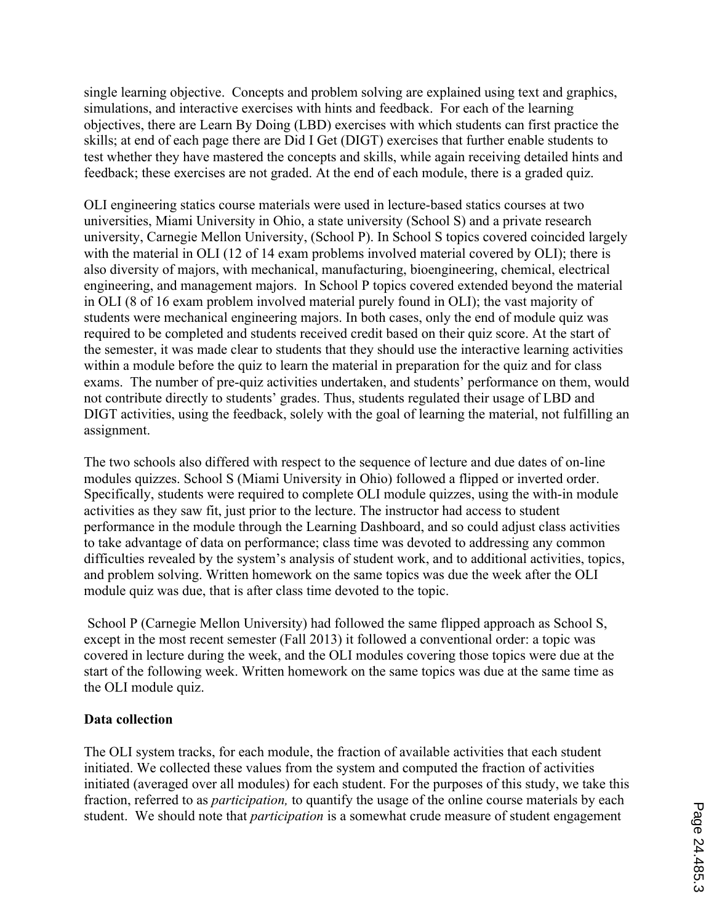single learning objective. Concepts and problem solving are explained using text and graphics, simulations, and interactive exercises with hints and feedback. For each of the learning objectives, there are Learn By Doing (LBD) exercises with which students can first practice the skills; at end of each page there are Did I Get (DIGT) exercises that further enable students to test whether they have mastered the concepts and skills, while again receiving detailed hints and feedback; these exercises are not graded. At the end of each module, there is a graded quiz.

OLI engineering statics course materials were used in lecture-based statics courses at two universities, Miami University in Ohio, a state university (School S) and a private research university, Carnegie Mellon University, (School P). In School S topics covered coincided largely with the material in OLI (12 of 14 exam problems involved material covered by OLI); there is also diversity of majors, with mechanical, manufacturing, bioengineering, chemical, electrical engineering, and management majors. In School P topics covered extended beyond the material in OLI (8 of 16 exam problem involved material purely found in OLI); the vast majority of students were mechanical engineering majors. In both cases, only the end of module quiz was required to be completed and students received credit based on their quiz score. At the start of the semester, it was made clear to students that they should use the interactive learning activities within a module before the quiz to learn the material in preparation for the quiz and for class exams. The number of pre-quiz activities undertaken, and students' performance on them, would not contribute directly to students' grades. Thus, students regulated their usage of LBD and DIGT activities, using the feedback, solely with the goal of learning the material, not fulfilling an assignment.

The two schools also differed with respect to the sequence of lecture and due dates of on-line modules quizzes. School S (Miami University in Ohio) followed a flipped or inverted order. Specifically, students were required to complete OLI module quizzes, using the with-in module activities as they saw fit, just prior to the lecture. The instructor had access to student performance in the module through the Learning Dashboard, and so could adjust class activities to take advantage of data on performance; class time was devoted to addressing any common difficulties revealed by the system's analysis of student work, and to additional activities, topics, and problem solving. Written homework on the same topics was due the week after the OLI module quiz was due, that is after class time devoted to the topic.

School P (Carnegie Mellon University) had followed the same flipped approach as School S, except in the most recent semester (Fall 2013) it followed a conventional order: a topic was covered in lecture during the week, and the OLI modules covering those topics were due at the start of the following week. Written homework on the same topics was due at the same time as the OLI module quiz.

## **Data collection**

The OLI system tracks, for each module, the fraction of available activities that each student initiated. We collected these values from the system and computed the fraction of activities initiated (averaged over all modules) for each student. For the purposes of this study, we take this fraction, referred to as *participation,* to quantify the usage of the online course materials by each student. We should note that *participation* is a somewhat crude measure of student engagement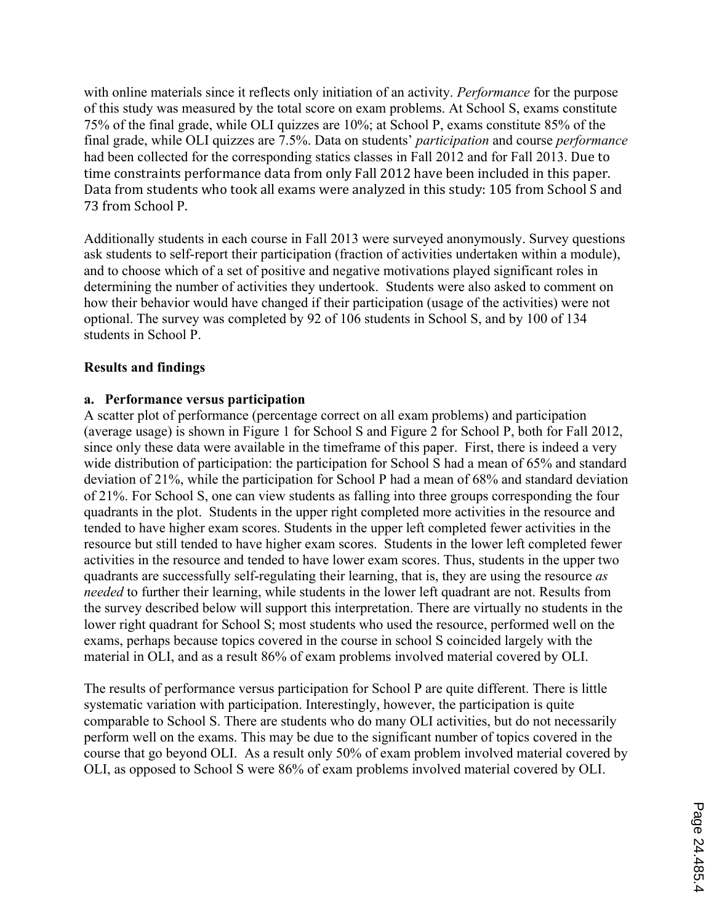with online materials since it reflects only initiation of an activity. *Performance* for the purpose of this study was measured by the total score on exam problems. At School S, exams constitute 75% of the final grade, while OLI quizzes are 10%; at School P, exams constitute 85% of the final grade, while OLI quizzes are 7.5%. Data on students' *participation* and course *performance* had been collected for the corresponding statics classes in Fall 2012 and for Fall 2013. Due to time constraints performance data from only Fall 2012 have been included in this paper. Data from students who took all exams were analyzed in this study: 105 from School S and 73 from School P.

Additionally students in each course in Fall 2013 were surveyed anonymously. Survey questions ask students to self-report their participation (fraction of activities undertaken within a module), and to choose which of a set of positive and negative motivations played significant roles in determining the number of activities they undertook. Students were also asked to comment on how their behavior would have changed if their participation (usage of the activities) were not optional. The survey was completed by 92 of 106 students in School S, and by 100 of 134 students in School P.

#### **Results and findings**

#### **a. Performance versus participation**

A scatter plot of performance (percentage correct on all exam problems) and participation (average usage) is shown in Figure 1 for School S and Figure 2 for School P, both for Fall 2012, since only these data were available in the timeframe of this paper. First, there is indeed a very wide distribution of participation: the participation for School S had a mean of 65% and standard deviation of 21%, while the participation for School P had a mean of 68% and standard deviation of 21%. For School S, one can view students as falling into three groups corresponding the four quadrants in the plot. Students in the upper right completed more activities in the resource and tended to have higher exam scores. Students in the upper left completed fewer activities in the resource but still tended to have higher exam scores. Students in the lower left completed fewer activities in the resource and tended to have lower exam scores. Thus, students in the upper two quadrants are successfully self-regulating their learning, that is, they are using the resource *as needed* to further their learning, while students in the lower left quadrant are not. Results from the survey described below will support this interpretation. There are virtually no students in the lower right quadrant for School S; most students who used the resource, performed well on the exams, perhaps because topics covered in the course in school S coincided largely with the material in OLI, and as a result 86% of exam problems involved material covered by OLI.

The results of performance versus participation for School P are quite different. There is little systematic variation with participation. Interestingly, however, the participation is quite comparable to School S. There are students who do many OLI activities, but do not necessarily perform well on the exams. This may be due to the significant number of topics covered in the course that go beyond OLI. As a result only 50% of exam problem involved material covered by OLI, as opposed to School S were 86% of exam problems involved material covered by OLI.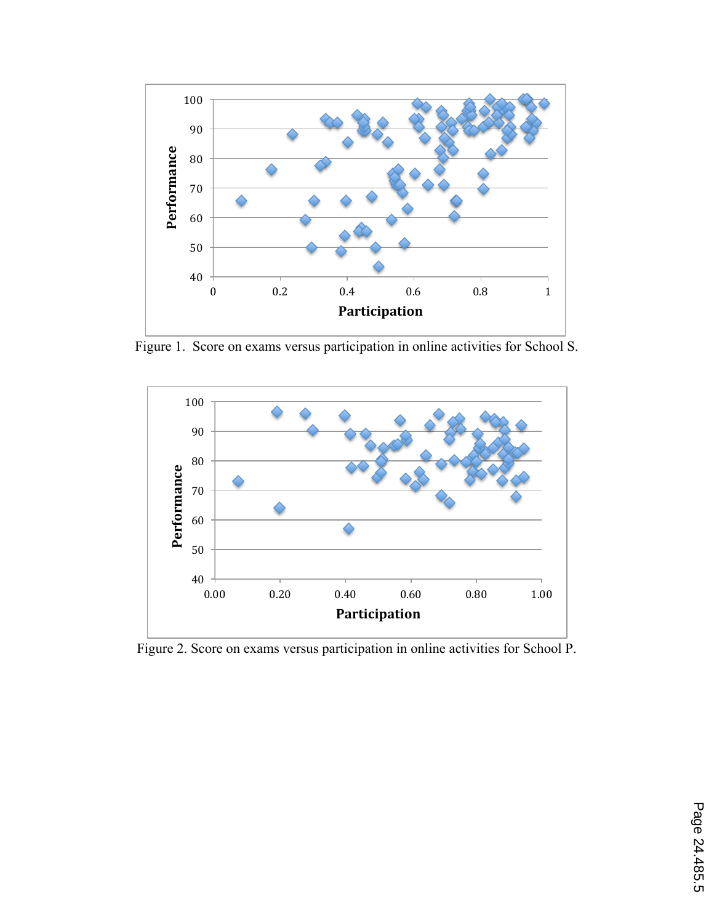

Figure 1. Score on exams versus participation in online activities for School S.



Figure 2. Score on exams versus participation in online activities for School P.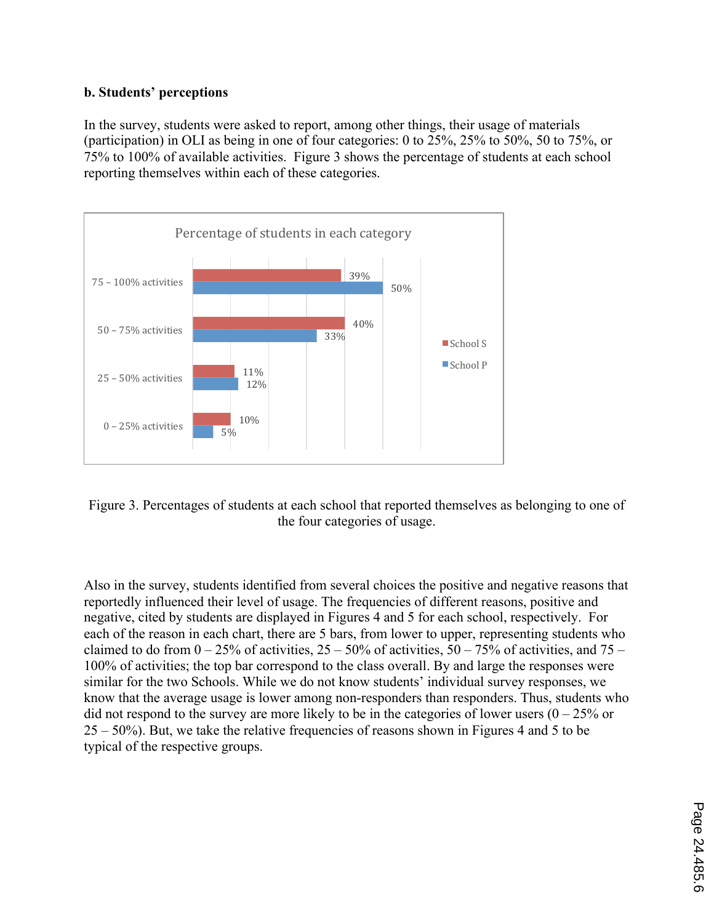## **b. Students' perceptions**

In the survey, students were asked to report, among other things, their usage of materials (participation) in OLI as being in one of four categories: 0 to 25%, 25% to 50%, 50 to 75%, or 75% to 100% of available activities. Figure 3 shows the percentage of students at each school reporting themselves within each of these categories.



Figure 3. Percentages of students at each school that reported themselves as belonging to one of the four categories of usage.

Also in the survey, students identified from several choices the positive and negative reasons that reportedly influenced their level of usage. The frequencies of different reasons, positive and negative, cited by students are displayed in Figures 4 and 5 for each school, respectively. For each of the reason in each chart, there are 5 bars, from lower to upper, representing students who claimed to do from  $0 - 25\%$  of activities,  $25 - 50\%$  of activities,  $50 - 75\%$  of activities, and  $75 -$ 100% of activities; the top bar correspond to the class overall. By and large the responses were similar for the two Schools. While we do not know students' individual survey responses, we know that the average usage is lower among non-responders than responders. Thus, students who did not respond to the survey are more likely to be in the categories of lower users  $(0 - 25\%$  or 25 – 50%). But, we take the relative frequencies of reasons shown in Figures 4 and 5 to be typical of the respective groups.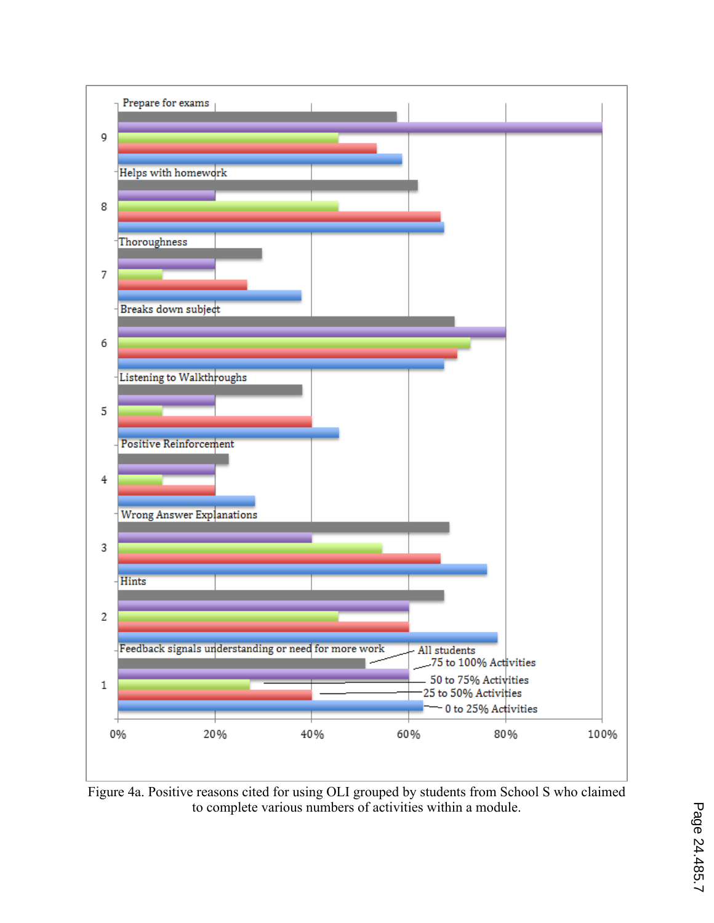

Figure 4a. Positive reasons cited for using OLI grouped by students from School S who claimed to complete various numbers of activities within a module.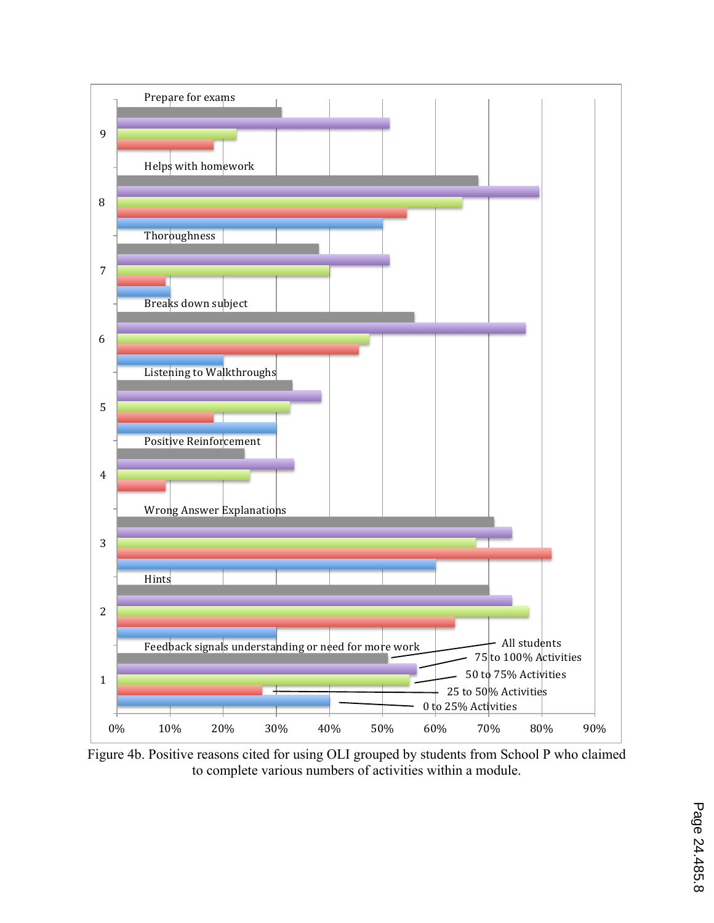

Figure 4b. Positive reasons cited for using OLI grouped by students from School P who claimed to complete various numbers of activities within a module.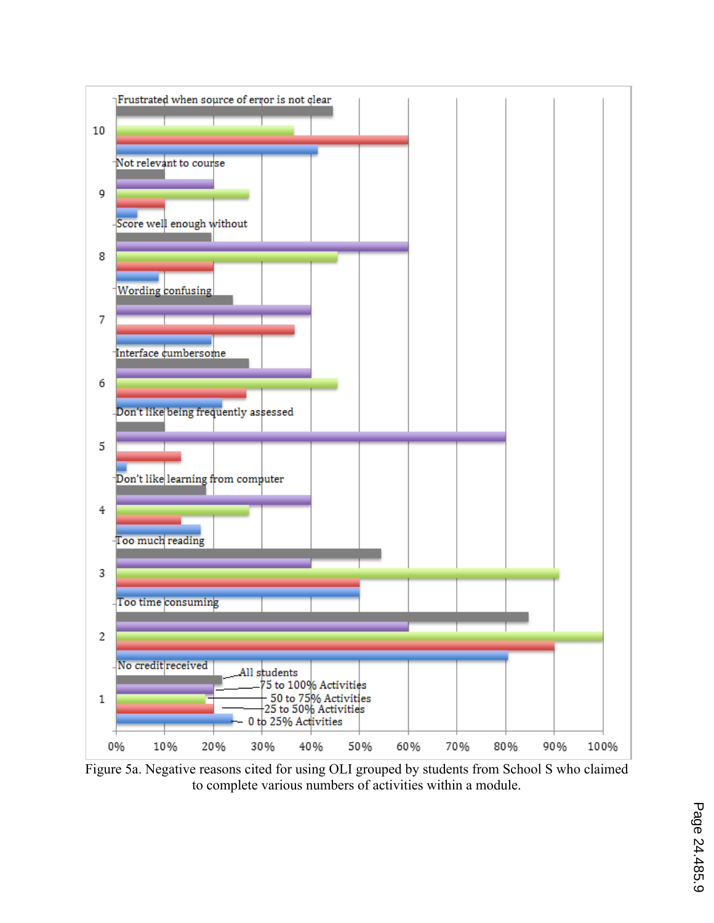

Figure 5a. Negative reasons cited for using OLI grouped by students from School S who claimed to complete various numbers of activities within a module.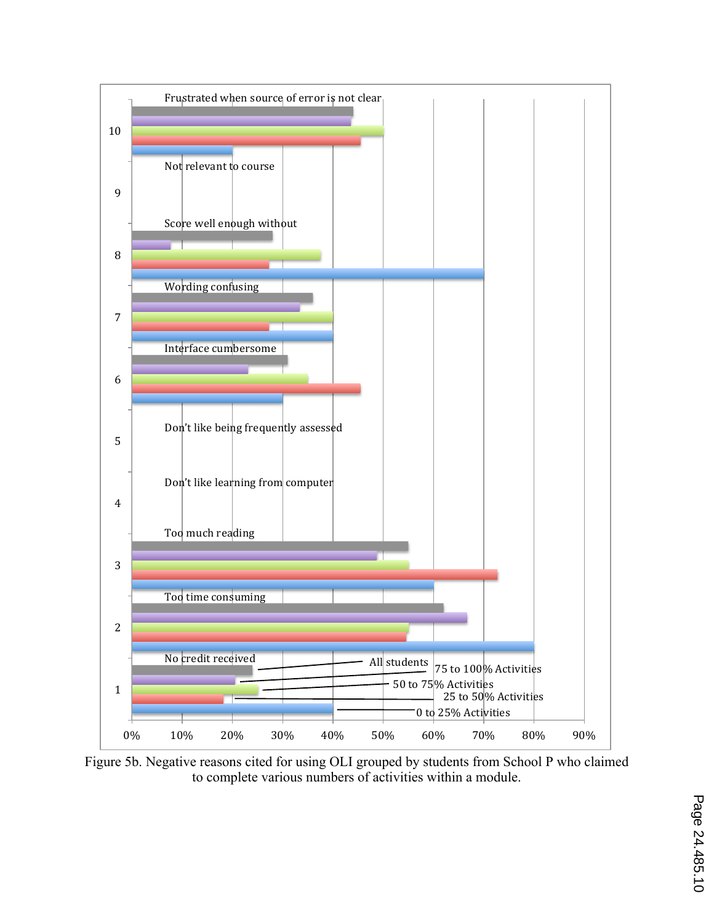

Figure 5b. Negative reasons cited for using OLI grouped by students from School P who claimed to complete various numbers of activities within a module.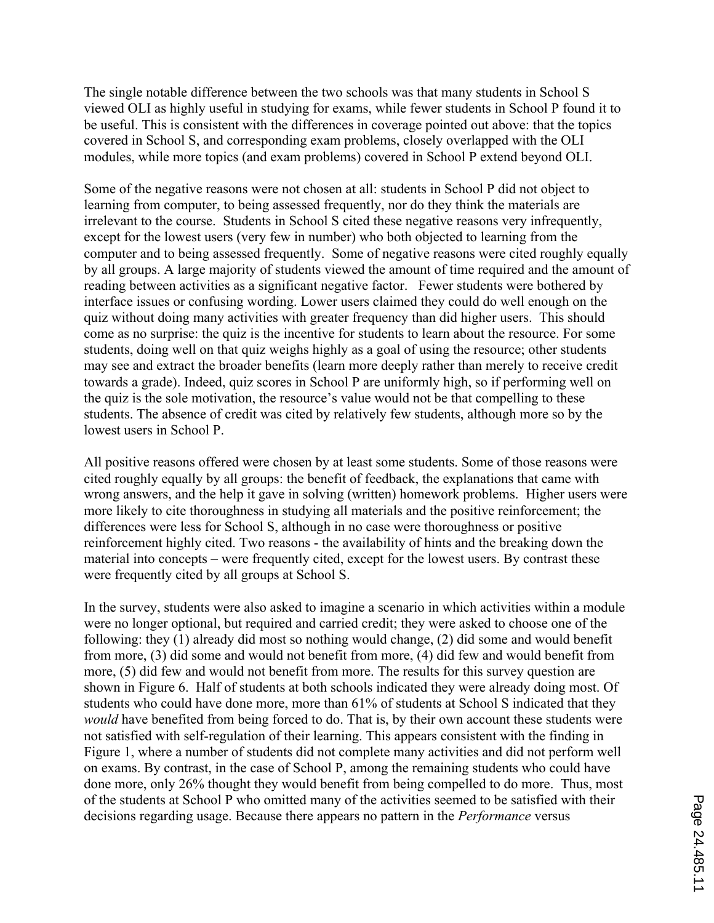The single notable difference between the two schools was that many students in School S viewed OLI as highly useful in studying for exams, while fewer students in School P found it to be useful. This is consistent with the differences in coverage pointed out above: that the topics covered in School S, and corresponding exam problems, closely overlapped with the OLI modules, while more topics (and exam problems) covered in School P extend beyond OLI.

Some of the negative reasons were not chosen at all: students in School P did not object to learning from computer, to being assessed frequently, nor do they think the materials are irrelevant to the course. Students in School S cited these negative reasons very infrequently, except for the lowest users (very few in number) who both objected to learning from the computer and to being assessed frequently. Some of negative reasons were cited roughly equally by all groups. A large majority of students viewed the amount of time required and the amount of reading between activities as a significant negative factor. Fewer students were bothered by interface issues or confusing wording. Lower users claimed they could do well enough on the quiz without doing many activities with greater frequency than did higher users. This should come as no surprise: the quiz is the incentive for students to learn about the resource. For some students, doing well on that quiz weighs highly as a goal of using the resource; other students may see and extract the broader benefits (learn more deeply rather than merely to receive credit towards a grade). Indeed, quiz scores in School P are uniformly high, so if performing well on the quiz is the sole motivation, the resource's value would not be that compelling to these students. The absence of credit was cited by relatively few students, although more so by the lowest users in School P.

All positive reasons offered were chosen by at least some students. Some of those reasons were cited roughly equally by all groups: the benefit of feedback, the explanations that came with wrong answers, and the help it gave in solving (written) homework problems. Higher users were more likely to cite thoroughness in studying all materials and the positive reinforcement; the differences were less for School S, although in no case were thoroughness or positive reinforcement highly cited. Two reasons - the availability of hints and the breaking down the material into concepts – were frequently cited, except for the lowest users. By contrast these were frequently cited by all groups at School S.

In the survey, students were also asked to imagine a scenario in which activities within a module were no longer optional, but required and carried credit; they were asked to choose one of the following: they (1) already did most so nothing would change, (2) did some and would benefit from more, (3) did some and would not benefit from more, (4) did few and would benefit from more, (5) did few and would not benefit from more. The results for this survey question are shown in Figure 6. Half of students at both schools indicated they were already doing most. Of students who could have done more, more than 61% of students at School S indicated that they *would* have benefited from being forced to do. That is, by their own account these students were not satisfied with self-regulation of their learning. This appears consistent with the finding in Figure 1, where a number of students did not complete many activities and did not perform well on exams. By contrast, in the case of School P, among the remaining students who could have done more, only 26% thought they would benefit from being compelled to do more. Thus, most of the students at School P who omitted many of the activities seemed to be satisfied with their decisions regarding usage. Because there appears no pattern in the *Performance* versus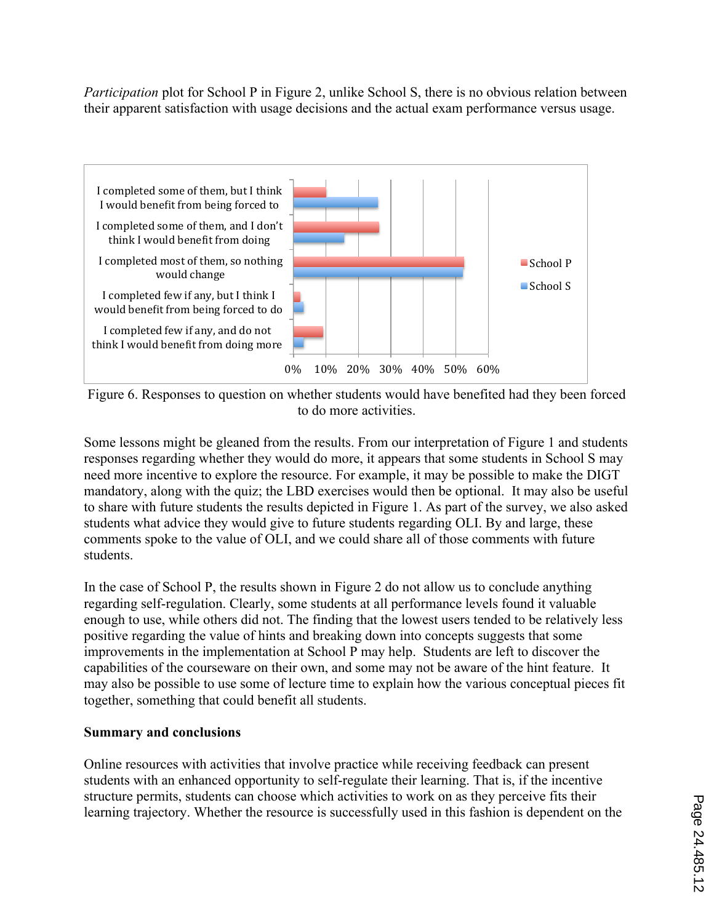*Participation* plot for School P in Figure 2, unlike School S, there is no obvious relation between their apparent satisfaction with usage decisions and the actual exam performance versus usage.



Figure 6. Responses to question on whether students would have benefited had they been forced to do more activities.

Some lessons might be gleaned from the results. From our interpretation of Figure 1 and students responses regarding whether they would do more, it appears that some students in School S may need more incentive to explore the resource. For example, it may be possible to make the DIGT mandatory, along with the quiz; the LBD exercises would then be optional. It may also be useful to share with future students the results depicted in Figure 1. As part of the survey, we also asked students what advice they would give to future students regarding OLI. By and large, these comments spoke to the value of OLI, and we could share all of those comments with future students.

In the case of School P, the results shown in Figure 2 do not allow us to conclude anything regarding self-regulation. Clearly, some students at all performance levels found it valuable enough to use, while others did not. The finding that the lowest users tended to be relatively less positive regarding the value of hints and breaking down into concepts suggests that some improvements in the implementation at School P may help. Students are left to discover the capabilities of the courseware on their own, and some may not be aware of the hint feature. It may also be possible to use some of lecture time to explain how the various conceptual pieces fit together, something that could benefit all students.

## **Summary and conclusions**

Online resources with activities that involve practice while receiving feedback can present students with an enhanced opportunity to self-regulate their learning. That is, if the incentive structure permits, students can choose which activities to work on as they perceive fits their learning trajectory. Whether the resource is successfully used in this fashion is dependent on the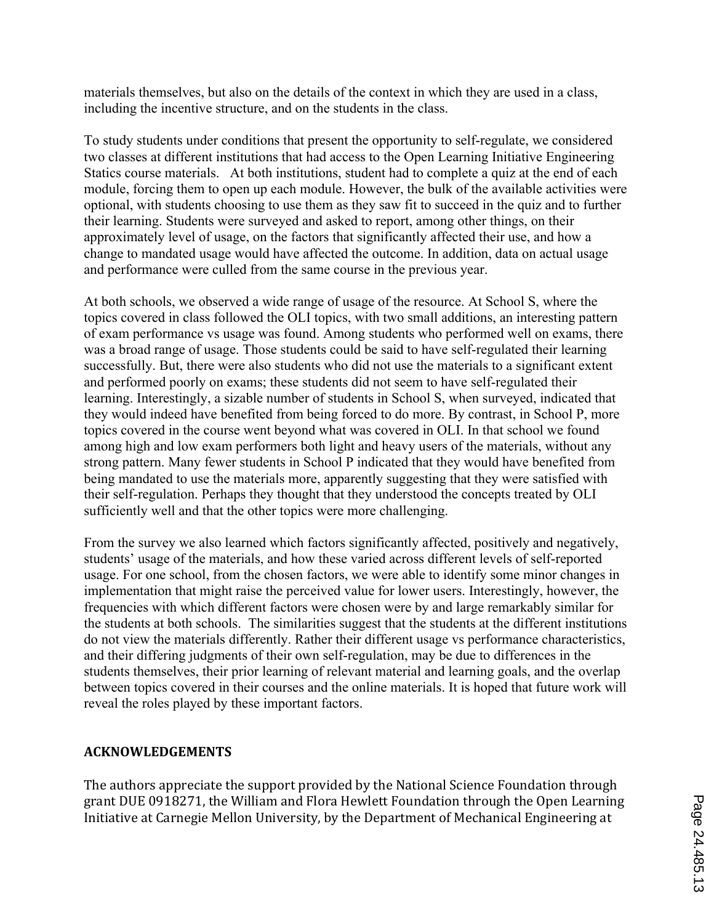materials themselves, but also on the details of the context in which they are used in a class, including the incentive structure, and on the students in the class.

To study students under conditions that present the opportunity to self-regulate, we considered two classes at different institutions that had access to the Open Learning Initiative Engineering Statics course materials. At both institutions, student had to complete a quiz at the end of each module, forcing them to open up each module. However, the bulk of the available activities were optional, with students choosing to use them as they saw fit to succeed in the quiz and to further their learning. Students were surveyed and asked to report, among other things, on their approximately level of usage, on the factors that significantly affected their use, and how a change to mandated usage would have affected the outcome. In addition, data on actual usage and performance were culled from the same course in the previous year.

At both schools, we observed a wide range of usage of the resource. At School S, where the topics covered in class followed the OLI topics, with two small additions, an interesting pattern of exam performance vs usage was found. Among students who performed well on exams, there was a broad range of usage. Those students could be said to have self-regulated their learning successfully. But, there were also students who did not use the materials to a significant extent and performed poorly on exams; these students did not seem to have self-regulated their learning. Interestingly, a sizable number of students in School S, when surveyed, indicated that they would indeed have benefited from being forced to do more. By contrast, in School P, more topics covered in the course went beyond what was covered in OLI. In that school we found among high and low exam performers both light and heavy users of the materials, without any strong pattern. Many fewer students in School P indicated that they would have benefited from being mandated to use the materials more, apparently suggesting that they were satisfied with their self-regulation. Perhaps they thought that they understood the concepts treated by OLI sufficiently well and that the other topics were more challenging.

From the survey we also learned which factors significantly affected, positively and negatively, students' usage of the materials, and how these varied across different levels of self-reported usage. For one school, from the chosen factors, we were able to identify some minor changes in implementation that might raise the perceived value for lower users. Interestingly, however, the frequencies with which different factors were chosen were by and large remarkably similar for the students at both schools. The similarities suggest that the students at the different institutions do not view the materials differently. Rather their different usage vs performance characteristics, and their differing judgments of their own self-regulation, may be due to differences in the students themselves, their prior learning of relevant material and learning goals, and the overlap between topics covered in their courses and the online materials. It is hoped that future work will reveal the roles played by these important factors.

## **ACKNOWLEDGEMENTS**

The authors appreciate the support provided by the National Science Foundation through grant DUE 0918271, the William and Flora Hewlett Foundation through the Open Learning Initiative at Carnegie Mellon University, by the Department of Mechanical Engineering at